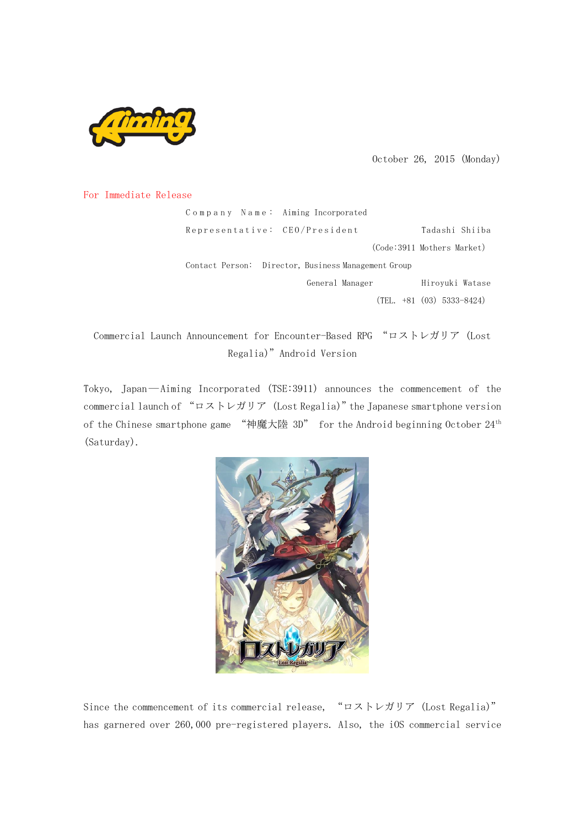

October 26, 2015 (Monday)

## For Immediate Release

|  | Company Name: Aiming Incorporated                   |                             |
|--|-----------------------------------------------------|-----------------------------|
|  | Representative: CEO/President                       | Tadashi Shiiba              |
|  |                                                     | (Code:3911 Mothers Market)  |
|  | Contact Person: Director, Business Management Group |                             |
|  | General Manager                                     | Hirovuki Watase             |
|  |                                                     | $(TEL. +81 (03) 5333-8424)$ |
|  |                                                     |                             |

Commercial Launch Announcement for Encounter-Based RPG "ロストレガリア (Lost Regalia)"Android Version

Tokyo, Japan―Aiming Incorporated (TSE:3911) announces the commencement of the commercial launch of "ロストレガリア (Lost Regalia)"the Japanese smartphone version of the Chinese smartphone game "神魔大陸 3D" for the Android beginning October 24th (Saturday).



Since the commencement of its commercial release, "ロストレガリア (Lost Regalia)" has garnered over 260,000 pre-registered players. Also, the iOS commercial service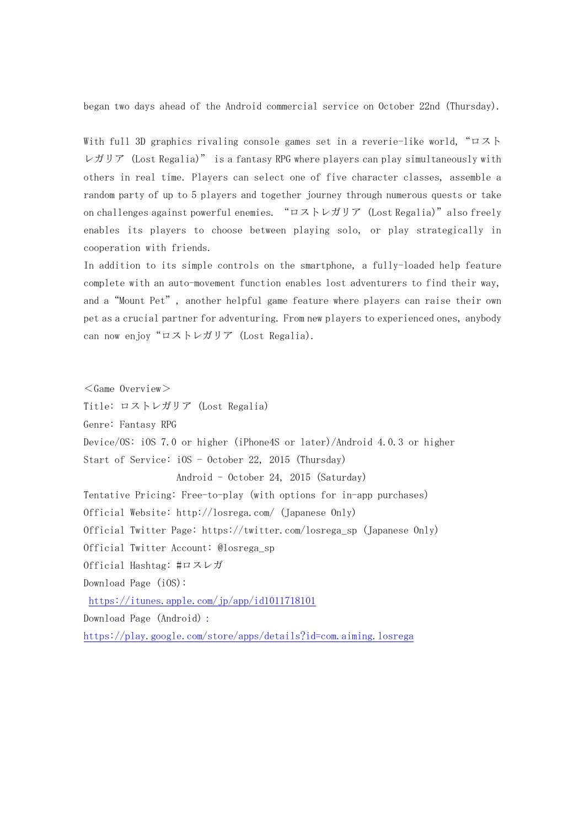began two days ahead of the Android commercial service on October 22nd (Thursday).

With full 3D graphics rivaling console games set in a reverie-like world,"ロスト レガリア (Lost Regalia)" is a fantasy RPG where players can play simultaneously with others in real time. Players can select one of five character classes, assemble a random party of up to 5 players and together journey through numerous quests or take on challenges against powerful enemies. "ロストレガリア (Lost Regalia)"also freely enables its players to choose between playing solo, or play strategically in cooperation with friends.

In addition to its simple controls on the smartphone, a fully-loaded help feature complete with an auto-movement function enables lost adventurers to find their way, and a"Mount Pet", another helpful game feature where players can raise their own pet as a crucial partner for adventuring. From new players to experienced ones, anybody can now enjoy "ロストレガリア (Lost Regalia).

 $<$ Game Overview $>$ Title: ロストレガリア (Lost Regalia) Genre: Fantasy RPG Device/OS: iOS 7.0 or higher (iPhone4S or later)/Android 4.0.3 or higher Start of Service: iOS - October 22, 2015 (Thursday) Android - October 24, 2015 (Saturday) Tentative Pricing: Free-to-play(with options for in-app purchases) Official Website: http://losrega.com/ (Japanese Only) Official Twitter Page: https://twitter.com/losrega\_sp (Japanese Only) Official Twitter Account: @losrega\_sp Official Hashtag: #ロスレガ Download Page (iOS): <https://itunes.apple.com/jp/app/id1011718101> Download Page (Android):

<https://play.google.com/store/apps/details?id=com.aiming.losrega>